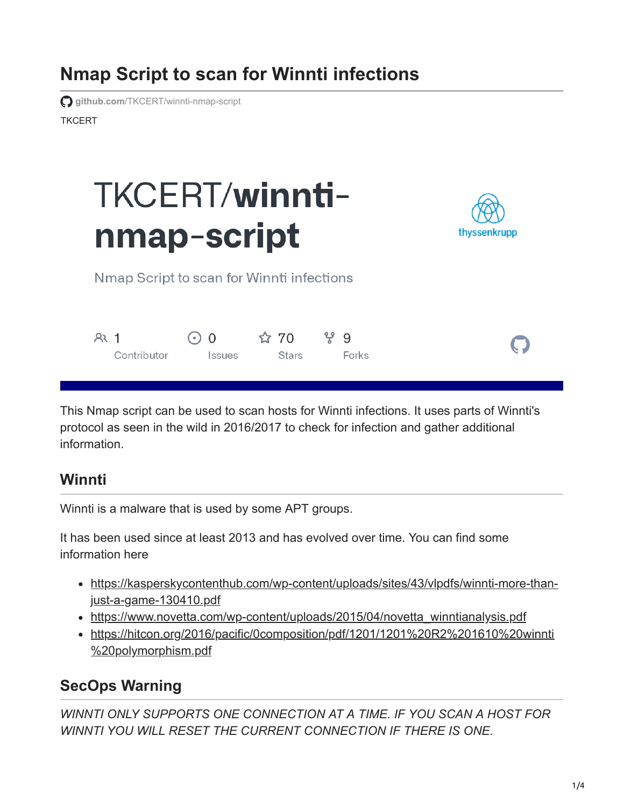# **Nmap Script to scan for Winnti infections**

**TKCFRT github.com[/TKCERT/winnti-nmap-script](https://github.com/TKCERT/winnti-nmap-script)** 

# TKCERT/winntinmap-script



Nmap Script to scan for Winnti infections

| 331 | $\bigcirc$ 0 $\qquad \qquad$ 170 $\qquad$ 179 $\qquad$ 179 $\qquad$ 179 $\qquad$ 179 $\qquad$ 179 $\qquad$ 179 $\qquad$ 179 $\qquad$ 179 $\qquad$ 179 $\qquad$ 179 $\qquad$ 179 $\qquad$ 179 $\qquad$ 179 $\qquad$ 179 $\qquad$ 179 $\qquad$ 179 $\qquad$ 179 $\qquad$ 179 $\qquad$ 179 $\qquad$ 179 |  |       |
|-----|------------------------------------------------------------------------------------------------------------------------------------------------------------------------------------------------------------------------------------------------------------------------------------------------------|--|-------|
|     | Contributor Issues Stars                                                                                                                                                                                                                                                                             |  | Forks |

This Nmap script can be used to scan hosts for Winnti infections. It uses parts of Winnti's protocol as seen in the wild in 2016/2017 to check for infection and gather additional information.

# **Winnti**

Winnti is a malware that is used by some APT groups.

It has been used since at least 2013 and has evolved over time. You can find some information here

- [https://kasperskycontenthub.com/wp-content/uploads/sites/43/vlpdfs/winnti-more-than](https://kasperskycontenthub.com/wp-content/uploads/sites/43/vlpdfs/winnti-more-than-just-a-game-130410.pdf)just-a-game-130410.pdf
- [https://www.novetta.com/wp-content/uploads/2015/04/novetta\\_winntianalysis.pdf](https://www.novetta.com/wp-content/uploads/2015/04/novetta_winntianalysis.pdf)
- [https://hitcon.org/2016/pacific/0composition/pdf/1201/1201%20R2%201610%20winnti](https://hitcon.org/2016/pacific/0composition/pdf/1201/1201%20R2%201610%20winnti%20polymorphism.pdf) %20polymorphism.pdf

# **SecOps Warning**

*WINNTI ONLY SUPPORTS ONE CONNECTION AT A TIME. IF YOU SCAN A HOST FOR WINNTI YOU WILL RESET THE CURRENT CONNECTION IF THERE IS ONE.*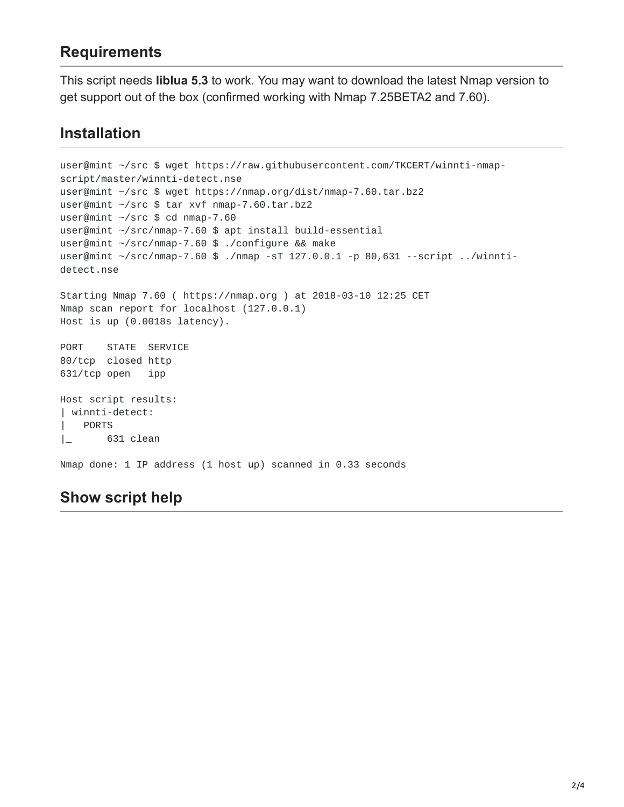# **Requirements**

This script needs **liblua 5.3** to work. You may want to download the latest Nmap version to get support out of the box (confirmed working with Nmap 7.25BETA2 and 7.60).

### **Installation**

```
user@mint ~/src $ wget https://raw.githubusercontent.com/TKCERT/winnti-nmap-
script/master/winnti-detect.nse
user@mint ~/src $ wget https://nmap.org/dist/nmap-7.60.tar.bz2
user@mint ~/src $ tar xvf nmap-7.60.tar.bz2
user@mint ~/src $ cd nmap-7.60
user@mint ~/src/nmap-7.60 $ apt install build-essential
user@mint ~/src/nmap-7.60 $ ./configure && make
user@mint ~/src/nmap-7.60 $ ./nmap -sT 127.0.0.1 -p 80,631 --script ../winnti-
detect.nse
Starting Nmap 7.60 ( https://nmap.org ) at 2018-03-10 12:25 CET
Nmap scan report for localhost (127.0.0.1)
Host is up (0.0018s latency).
PORT STATE SERVICE
80/tcp closed http
631/tcp open ipp
Host script results:
| winnti-detect:
| PORTS
|_ 631 clean
Nmap done: 1 IP address (1 host up) scanned in 0.33 seconds
```
# **Show script help**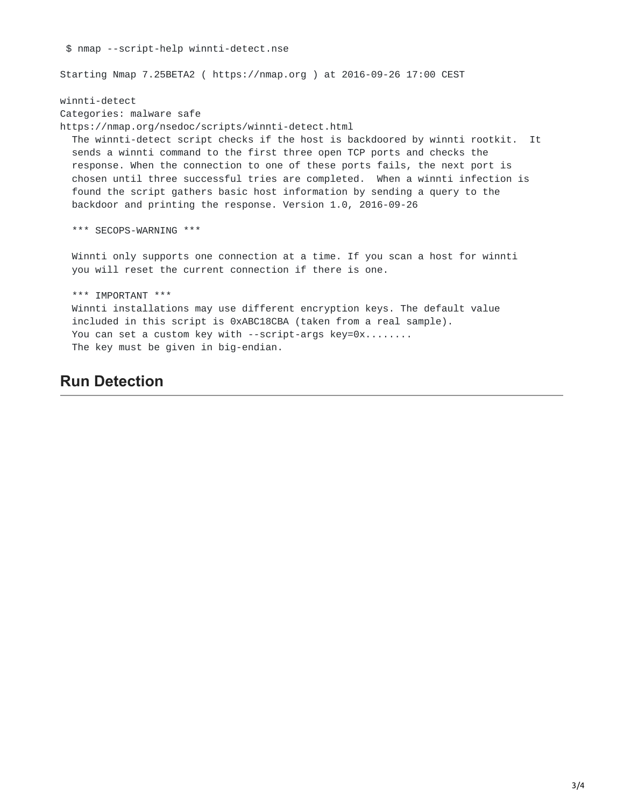\$ nmap --script-help winnti-detect.nse Starting Nmap 7.25BETA2 ( https://nmap.org ) at 2016-09-26 17:00 CEST winnti-detect Categories: malware safe https://nmap.org/nsedoc/scripts/winnti-detect.html The winnti-detect script checks if the host is backdoored by winnti rootkit. It sends a winnti command to the first three open TCP ports and checks the response. When the connection to one of these ports fails, the next port is chosen until three successful tries are completed. When a winnti infection is found the script gathers basic host information by sending a query to the backdoor and printing the response. Version 1.0, 2016-09-26 \*\*\* SECOPS-WARNING \*\*\* Winnti only supports one connection at a time. If you scan a host for winnti you will reset the current connection if there is one. \*\*\* IMPORTANT \*\*\* Winnti installations may use different encryption keys. The default value included in this script is 0xABC18CBA (taken from a real sample). You can set a custom key with --script-args key=0x........ The key must be given in big-endian.

#### **Run Detection**